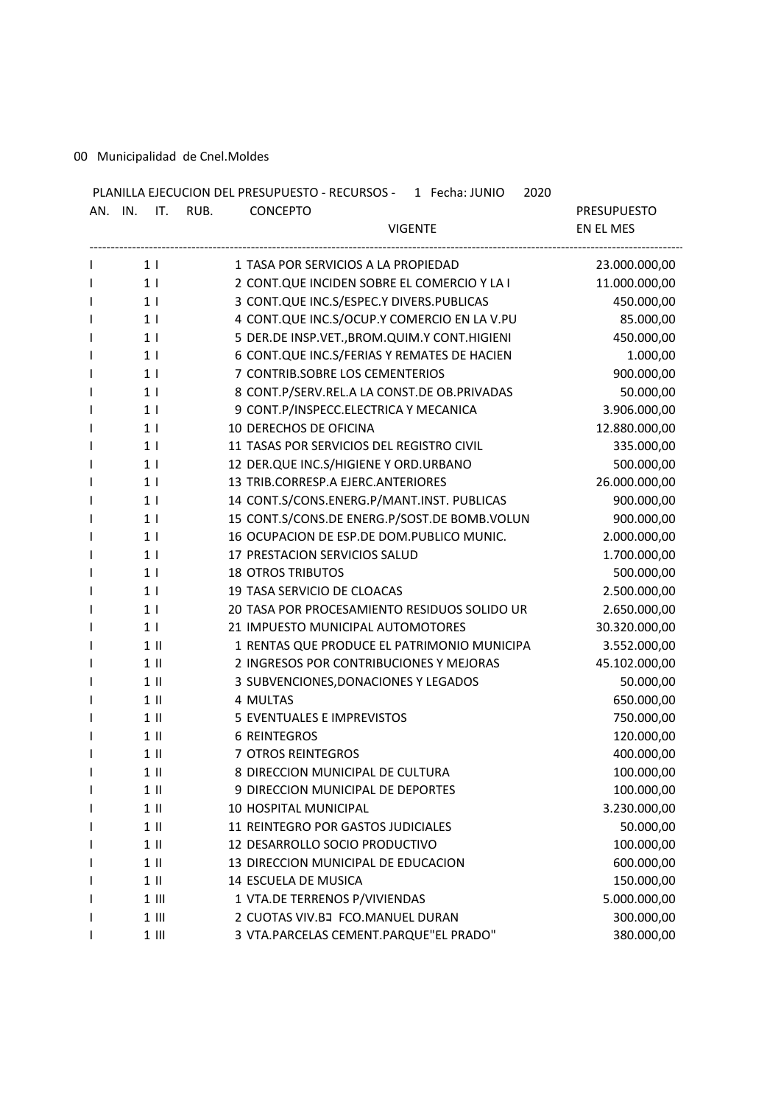00 Municipalidad de Cnel.Moldes

| AN. IN. IT. RUB. | PLANILLA EJECUCION DEL PRESUPUESTO - RECURSOS - 1 Fecha: JUNIO<br>2020<br><b>CONCEPTO</b> | <b>PRESUPUESTO</b> |
|------------------|-------------------------------------------------------------------------------------------|--------------------|
|                  | <b>VIGENTE</b>                                                                            | EN EL MES          |
| $1 \mid$         | 1 TASA POR SERVICIOS A LA PROPIEDAD                                                       | 23.000.000,00      |
| 1 <sub>1</sub>   | 2 CONT.QUE INCIDEN SOBRE EL COMERCIO Y LA I                                               | 11.000.000,00      |
| 1 <sub>1</sub>   | 3 CONT.QUE INC.S/ESPEC.Y DIVERS.PUBLICAS                                                  | 450.000,00         |
| 1 <sub>1</sub>   | 4 CONT.QUE INC.S/OCUP.Y COMERCIO EN LA V.PU                                               | 85.000,00          |
| 1 <sup>1</sup>   | 5 DER.DE INSP.VET., BROM.QUIM.Y CONT.HIGIENI                                              | 450.000,00         |
| 1 <sup>1</sup>   | 6 CONT.QUE INC.S/FERIAS Y REMATES DE HACIEN                                               | 1.000,00           |
| 1 <sub>1</sub>   | 7 CONTRIB.SOBRE LOS CEMENTERIOS                                                           | 900.000,00         |
| 1 <sub>1</sub>   | 8 CONT.P/SERV.REL.A LA CONST.DE OB.PRIVADAS                                               | 50.000,00          |
| 1 <sub>1</sub>   | 9 CONT.P/INSPECC.ELECTRICA Y MECANICA                                                     | 3.906.000,00       |
| 1 <sub>1</sub>   | 10 DERECHOS DE OFICINA                                                                    | 12.880.000,00      |
| 1 <sub>1</sub>   | 11 TASAS POR SERVICIOS DEL REGISTRO CIVIL                                                 | 335.000,00         |
| 1 <sub>1</sub>   | 12 DER.QUE INC.S/HIGIENE Y ORD.URBANO                                                     | 500.000,00         |
| 1 <sub>1</sub>   | 13 TRIB.CORRESP.A EJERC.ANTERIORES                                                        | 26.000.000,00      |
| 1 <sub>1</sub>   | 14 CONT.S/CONS.ENERG.P/MANT.INST. PUBLICAS                                                | 900.000,00         |
| 1 <sub>1</sub>   | 15 CONT.S/CONS.DE ENERG.P/SOST.DE BOMB.VOLUN                                              | 900.000,00         |
| 1 <sub>1</sub>   | 16 OCUPACION DE ESP.DE DOM.PUBLICO MUNIC.                                                 | 2.000.000,00       |
| 1 <sub>1</sub>   | 17 PRESTACION SERVICIOS SALUD                                                             | 1.700.000,00       |
| 1 <sub>1</sub>   | <b>18 OTROS TRIBUTOS</b>                                                                  | 500.000,00         |
| 1 <sub>1</sub>   | 19 TASA SERVICIO DE CLOACAS                                                               | 2.500.000,00       |
| 1 <sup>1</sup>   | 20 TASA POR PROCESAMIENTO RESIDUOS SOLIDO UR                                              | 2.650.000,00       |
| 1 <sub>1</sub>   | 21 IMPUESTO MUNICIPAL AUTOMOTORES                                                         | 30.320.000,00      |
| $1$ II           | 1 RENTAS QUE PRODUCE EL PATRIMONIO MUNICIPA                                               | 3.552.000,00       |
| $1$ II           | 2 INGRESOS POR CONTRIBUCIONES Y MEJORAS                                                   | 45.102.000,00      |
| $1$ II           | 3 SUBVENCIONES, DONACIONES Y LEGADOS                                                      | 50.000,00          |
| $1$ II           | 4 MULTAS                                                                                  | 650.000,00         |
| $1 \parallel$    | <b>5 EVENTUALES E IMPREVISTOS</b>                                                         | 750.000,00         |
| $1 \parallel$    | <b>6 REINTEGROS</b>                                                                       | 120.000,00         |
| $1$ II           | 7 OTROS REINTEGROS                                                                        | 400.000,00         |
| 1 II             | 8 DIRECCION MUNICIPAL DE CULTURA                                                          | 100.000,00         |
| $1$ II           | 9 DIRECCION MUNICIPAL DE DEPORTES                                                         | 100.000,00         |
| $1$ $\parallel$  | 10 HOSPITAL MUNICIPAL                                                                     | 3.230.000,00       |
| $1$ $\parallel$  | 11 REINTEGRO POR GASTOS JUDICIALES                                                        | 50.000,00          |
| $1$ II           | 12 DESARROLLO SOCIO PRODUCTIVO                                                            | 100.000,00         |
| $1$ $\parallel$  | 13 DIRECCION MUNICIPAL DE EDUCACION                                                       | 600.000,00         |
| $1$ II           | 14 ESCUELA DE MUSICA                                                                      | 150.000,00         |
| $1$ III          | 1 VTA.DE TERRENOS P/VIVIENDAS                                                             | 5.000.000,00       |
| $1$ III          | 2 CUOTAS VIV.BJ FCO.MANUEL DURAN                                                          | 300.000,00         |
| $1$ III          | 3 VTA.PARCELAS CEMENT.PARQUE"EL PRADO"                                                    | 380.000,00         |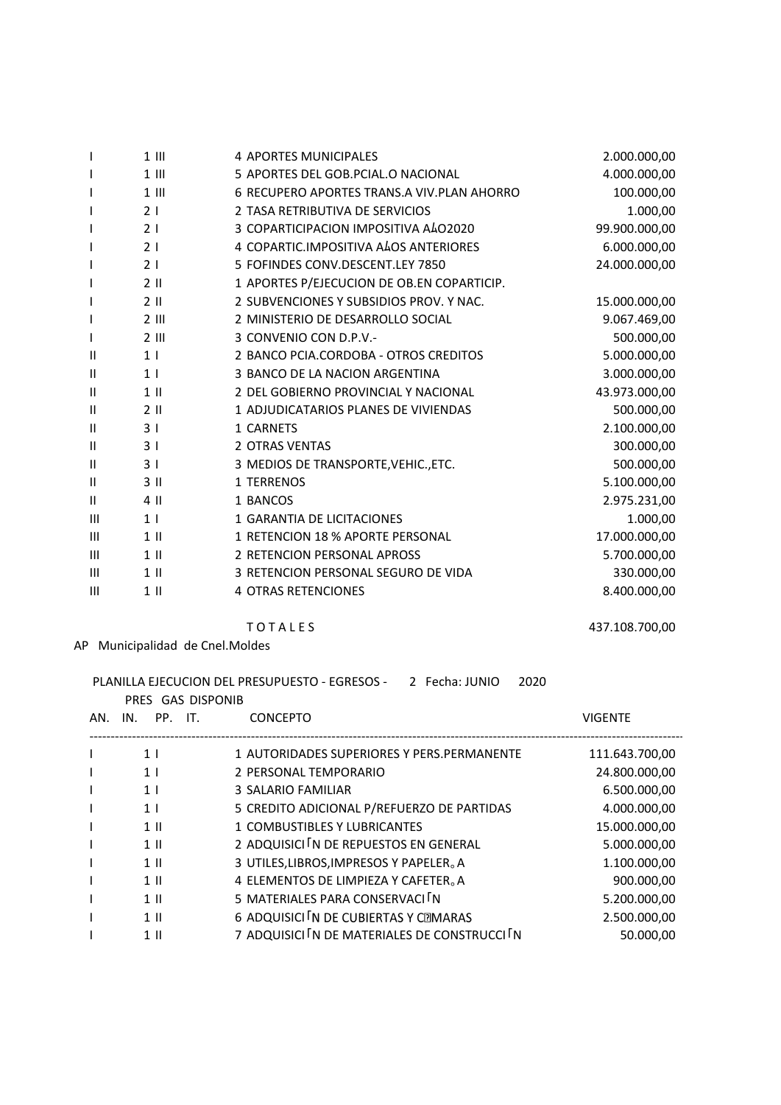| L             | $1$ III         | <b>4 APORTES MUNICIPALES</b>               | 2.000.000,00  |
|---------------|-----------------|--------------------------------------------|---------------|
| L             | $1$ III         | 5 APORTES DEL GOB.PCIAL.O NACIONAL         | 4.000.000,00  |
| I             | $1$ $   $       | 6 RECUPERO APORTES TRANS.A VIV.PLAN AHORRO | 100.000,00    |
| L             | 21              | 2 TASA RETRIBUTIVA DE SERVICIOS            | 1.000,00      |
| L             | 2 <sub>1</sub>  | 3 COPARTICIPACION IMPOSITIVA A402020       | 99.900.000,00 |
| L             | 21              | 4 COPARTIC.IMPOSITIVA ALOS ANTERIORES      | 6.000.000,00  |
| I             | 2 <sub>1</sub>  | 5 FOFINDES CONV.DESCENT.LEY 7850           | 24.000.000,00 |
| L             | $2$ II          | 1 APORTES P/EJECUCION DE OB.EN COPARTICIP. |               |
| I             | $2$ II          | 2 SUBVENCIONES Y SUBSIDIOS PROV. Y NAC.    | 15.000.000,00 |
| L             | $2$ III         | 2 MINISTERIO DE DESARROLLO SOCIAL          | 9.067.469,00  |
| L             | $2$ III         | 3 CONVENIO CON D.P.V.-                     | 500.000,00    |
| Ш             | 1 <sup>1</sup>  | 2 BANCO PCIA.CORDOBA - OTROS CREDITOS      | 5.000.000,00  |
| $\mathsf{II}$ | 1 <sub>1</sub>  | 3 BANCO DE LA NACION ARGENTINA             | 3.000.000,00  |
| $\mathsf{II}$ | $1$ II          | 2 DEL GOBIERNO PROVINCIAL Y NACIONAL       | 43.973.000,00 |
| Ш             | $2$ II          | 1 ADJUDICATARIOS PLANES DE VIVIENDAS       | 500.000,00    |
| Ш             | 3 <sub>1</sub>  | 1 CARNETS                                  | 2.100.000,00  |
| Ш             | 3 <sub>1</sub>  | <b>2 OTRAS VENTAS</b>                      | 300.000,00    |
| Ш             | 31              | 3 MEDIOS DE TRANSPORTE, VEHIC., ETC.       | 500.000,00    |
| Ш             | 3 <sub>II</sub> | 1 TERRENOS                                 | 5.100.000,00  |
| Ш             | 4 II            | 1 BANCOS                                   | 2.975.231,00  |
| Ш             | 1 <sub>1</sub>  | 1 GARANTIA DE LICITACIONES                 | 1.000,00      |
| III           | $1$ II          | 1 RETENCION 18 % APORTE PERSONAL           | 17.000.000,00 |
| III           | $1$ II          | 2 RETENCION PERSONAL APROSS                | 5.700.000,00  |
| Ш             | $1$ II          | 3 RETENCION PERSONAL SEGURO DE VIDA        | 330.000,00    |
| Ш             | $1$ II          | <b>4 OTRAS RETENCIONES</b>                 | 8.400.000,00  |

# **TOTALES**

# AP Municipalidad de Cnel.Moldes

## PLANILLA EJECUCION DEL PRESUPUESTO - EGRESOS - 2 Fecha: JUNIO 2020

|     | PRES GAS DISPONIB |                                               |                |
|-----|-------------------|-----------------------------------------------|----------------|
| AN. | PP. IT.<br>IN.    | <b>CONCEPTO</b>                               | <b>VIGENTE</b> |
|     | 1 <sup>1</sup>    | 1 AUTORIDADES SUPERIORES Y PERS. PERMANENTE   | 111.643.700,00 |
|     | 1 <sub>1</sub>    | 2 PERSONAL TEMPORARIO                         | 24.800.000.00  |
|     | 1 <sup>1</sup>    | 3 SALARIO FAMILIAR                            | 6.500.000,00   |
|     | 1 <sub>1</sub>    | 5 CREDITO ADICIONAL P/REFUERZO DE PARTIDAS    | 4.000.000,00   |
|     | $1$ II            | 1 COMBUSTIBLES Y LUBRICANTES                  | 15.000.000.00  |
|     | $1$ II            | 2 ADQUISICI IN DE REPUESTOS EN GENERAL        | 5.000.000,00   |
|     | $1 \parallel$     | 3 UTILES, LIBROS, IMPRESOS Y PAPELER. A       | 1.100.000,00   |
|     | $1$ II            | 4 ELEMENTOS DE LIMPIEZA Y CAFETER. A          | 900.000,00     |
|     | $1$ II            | 5 MATERIALES PARA CONSERVACI IN               | 5.200.000,00   |
|     | $1$ II            | 6 ADQUISICI IN DE CUBIERTAS Y CEMARAS         | 2.500.000,00   |
|     | $1$ II            | 7 ADQUISICI IN DE MATERIALES DE CONSTRUCCI IN | 50.000,00      |

437.108.700,00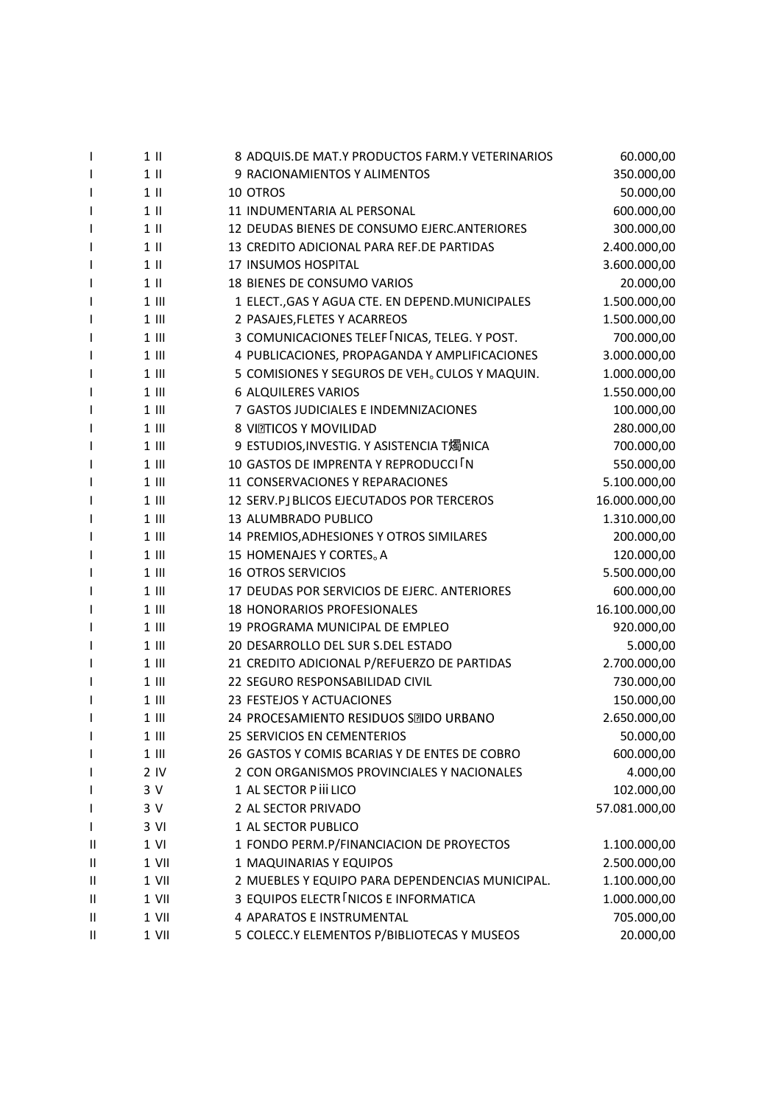| L | $1$ II         | 8 ADQUIS.DE MAT.Y PRODUCTOS FARM.Y VETERINARIOS  | 60.000,00     |
|---|----------------|--------------------------------------------------|---------------|
|   | $1$ II         | 9 RACIONAMIENTOS Y ALIMENTOS                     | 350.000,00    |
|   | $1$ II         | 10 OTROS                                         | 50.000,00     |
|   | $1$ II         | 11 INDUMENTARIA AL PERSONAL                      | 600.000,00    |
|   | $1$ II         | 12 DEUDAS BIENES DE CONSUMO EJERC. ANTERIORES    | 300.000,00    |
|   | $1$ II         | 13 CREDITO ADICIONAL PARA REF.DE PARTIDAS        | 2.400.000,00  |
| I | $1$ II         | <b>17 INSUMOS HOSPITAL</b>                       | 3.600.000,00  |
| I | $1$ II         | 18 BIENES DE CONSUMO VARIOS                      | 20.000,00     |
|   | $1$ III        | 1 ELECT., GAS Y AGUA CTE. EN DEPEND. MUNICIPALES | 1.500.000,00  |
|   | $1$ III        | 2 PASAJES, FLETES Y ACARREOS                     | 1.500.000,00  |
|   | $1$ III        | 3 COMUNICACIONES TELEF NICAS, TELEG. Y POST.     | 700.000,00    |
|   | $1$ III        | 4 PUBLICACIONES, PROPAGANDA Y AMPLIFICACIONES    | 3.000.000,00  |
|   | $1$ III        | 5 COMISIONES Y SEGUROS DE VEH. CULOS Y MAQUIN.   | 1.000.000,00  |
| I | $1$ III        | <b>6 ALQUILERES VARIOS</b>                       | 1.550.000,00  |
| ı | $1$ III        | 7 GASTOS JUDICIALES E INDEMNIZACIONES            | 100.000,00    |
|   | $1$ III        | 8 VITTICOS Y MOVILIDAD                           | 280.000,00    |
|   | $1$ III        | 9 ESTUDIOS, INVESTIG. Y ASISTENCIA T燭NICA        | 700.000,00    |
|   | $1$ III        | 10 GASTOS DE IMPRENTA Y REPRODUCCI IN            | 550.000,00    |
|   | $1$ III        | 11 CONSERVACIONES Y REPARACIONES                 | 5.100.000,00  |
|   | $1$ III        | 12 SERV.PJ BLICOS EJECUTADOS POR TERCEROS        | 16.000.000,00 |
| I | $1$ III        | 13 ALUMBRADO PUBLICO                             | 1.310.000,00  |
|   | $1$ III        | 14 PREMIOS, ADHESIONES Y OTROS SIMILARES         | 200.000,00    |
|   | $1$ III        | 15 HOMENAJES Y CORTES. A                         | 120.000,00    |
| ı | $1$ III        | <b>16 OTROS SERVICIOS</b>                        | 5.500.000,00  |
|   | $1$ III        | 17 DEUDAS POR SERVICIOS DE EJERC. ANTERIORES     | 600.000,00    |
|   | $1$ III        | <b>18 HONORARIOS PROFESIONALES</b>               | 16.100.000,00 |
| L | $1$ III        | 19 PROGRAMA MUNICIPAL DE EMPLEO                  | 920.000,00    |
| ı | $1$ III        | 20 DESARROLLO DEL SUR S.DEL ESTADO               | 5.000,00      |
|   | $1$ III        | 21 CREDITO ADICIONAL P/REFUERZO DE PARTIDAS      | 2.700.000,00  |
|   | $1$ III        | 22 SEGURO RESPONSABILIDAD CIVIL                  | 730.000,00    |
|   | $1$ III        | 23 FESTEJOS Y ACTUACIONES                        | 150.000,00    |
|   | $1$ III        | 24 PROCESAMIENTO RESIDUOS SEIDO URBANO           | 2.650.000,00  |
|   | $1$ III        | 25 SERVICIOS EN CEMENTERIOS                      | 50.000,00     |
| I | $1$ III        | 26 GASTOS Y COMIS BCARIAS Y DE ENTES DE COBRO    | 600.000,00    |
|   | 2 <sub>N</sub> | 2 CON ORGANISMOS PROVINCIALES Y NACIONALES       | 4.000,00      |
|   | 3 V            | 1 AL SECTOR P iii LICO                           | 102.000,00    |
| ı | 3 V            | 2 AL SECTOR PRIVADO                              | 57.081.000,00 |
| I | 3 VI           | 1 AL SECTOR PUBLICO                              |               |
| Ш | $1$ VI         | 1 FONDO PERM.P/FINANCIACION DE PROYECTOS         | 1.100.000,00  |
| Ш | 1 VII          | 1 MAQUINARIAS Y EQUIPOS                          | 2.500.000,00  |
| Ш | 1 VII          | 2 MUEBLES Y EQUIPO PARA DEPENDENCIAS MUNICIPAL.  | 1.100.000,00  |
| Ш | 1 VII          | 3 EQUIPOS ELECTR INICOS E INFORMATICA            | 1.000.000,00  |
| Ш | 1 VII          | 4 APARATOS E INSTRUMENTAL                        | 705.000,00    |
| Ш | 1 VII          | 5 COLECC.Y ELEMENTOS P/BIBLIOTECAS Y MUSEOS      | 20.000,00     |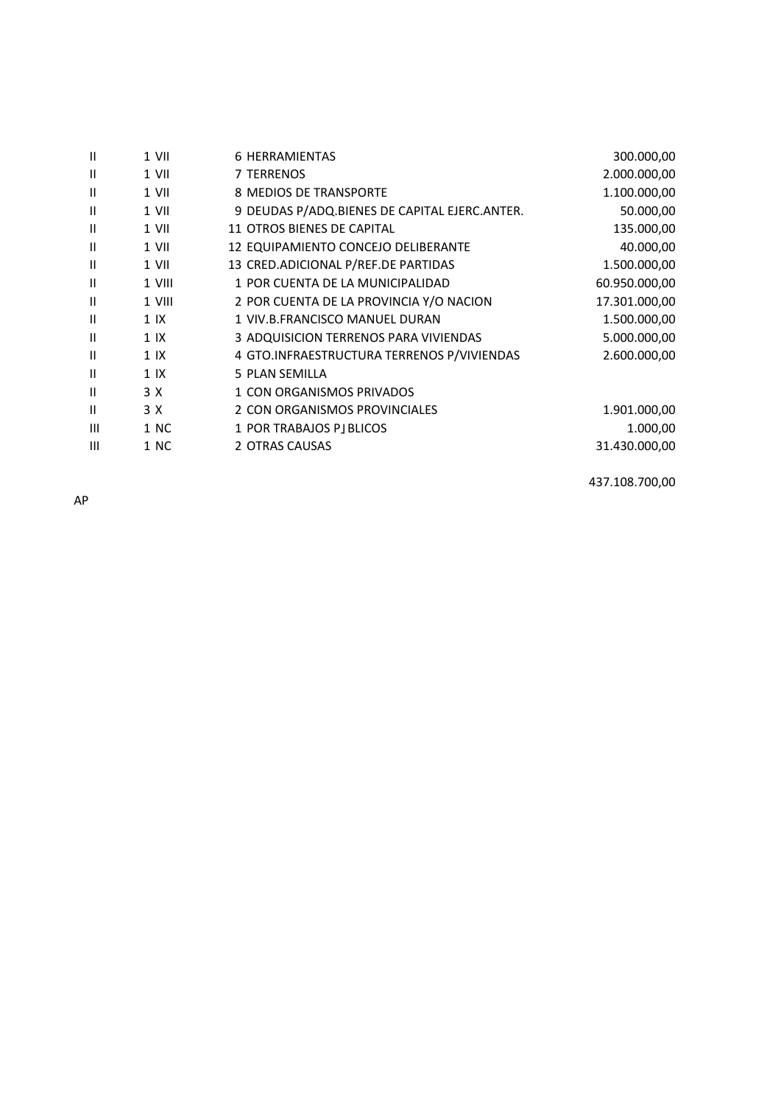| Ш              | 1 VII          | <b>6 HERRAMIENTAS</b>                         | 300.000,00    |
|----------------|----------------|-----------------------------------------------|---------------|
| Ш              | 1 VII          | 7 TERRENOS                                    | 2.000.000,00  |
| Ш              | 1 VII          | 8 MEDIOS DE TRANSPORTE                        | 1.100.000,00  |
| Ш              | 1 VII          | 9 DEUDAS P/ADQ.BIENES DE CAPITAL EJERC.ANTER. | 50.000,00     |
| $\mathbf{II}$  | $1$ VII        | 11 OTROS BIENES DE CAPITAL                    | 135.000,00    |
| Ш              | 1 VII          | 12 EQUIPAMIENTO CONCEJO DELIBERANTE           | 40.000,00     |
| Ш              | 1 VII          | 13 CRED.ADICIONAL P/REF.DE PARTIDAS           | 1.500.000,00  |
| Ш              | 1 VIII         | 1 POR CUENTA DE LA MUNICIPALIDAD              | 60.950.000,00 |
| Ш              | 1 VIII         | 2 POR CUENTA DE LA PROVINCIA Y/O NACION       | 17.301.000,00 |
| Ш              | 1 IX           | 1 VIV.B.FRANCISCO MANUEL DURAN                | 1.500.000,00  |
| Ш              | 1 <sup>K</sup> | 3 ADQUISICION TERRENOS PARA VIVIENDAS         | 5.000.000,00  |
| $\mathbf{II}$  | 1 <sup>K</sup> | 4 GTO.INFRAESTRUCTURA TERRENOS P/VIVIENDAS    | 2.600.000,00  |
| Ш              | 1 <sup>K</sup> | 5 PLAN SEMILLA                                |               |
| Ш              | 3 X            | 1 CON ORGANISMOS PRIVADOS                     |               |
| Ш              | 3 X            | 2 CON ORGANISMOS PROVINCIALES                 | 1.901.000,00  |
| $\mathbf{III}$ | 1 NC           | 1 POR TRABAJOS PJ BLICOS                      | 1.000,00      |
| $\mathbf{III}$ | 1 NC           | 2 OTRAS CAUSAS                                | 31.430.000,00 |
|                |                |                                               |               |

437.108.700,00

AP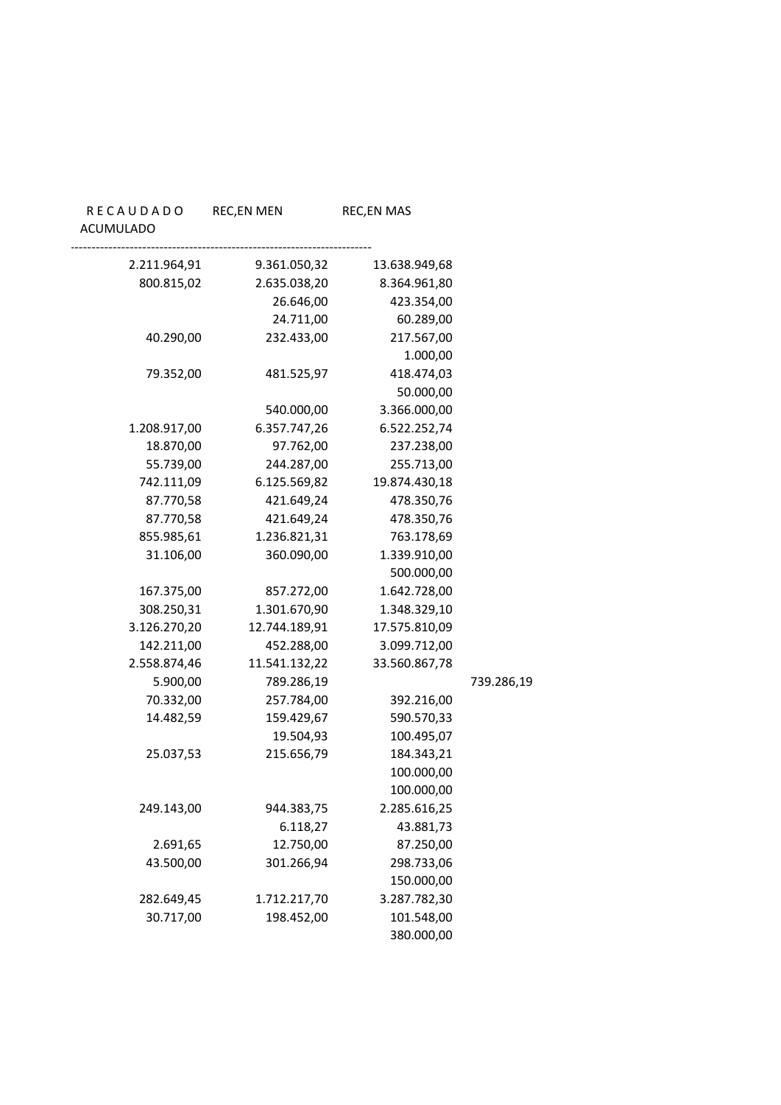#### ACUMULADO

| 13.638.949,68 | 9.361.050,32  | 2.211.964,91 |
|---------------|---------------|--------------|
| 8.364.961,80  | 2.635.038,20  | 800.815,02   |
| 423.354,00    | 26.646,00     |              |
| 60.289,00     | 24.711,00     |              |
| 217.567,00    | 232.433,00    | 40.290,00    |
| 1.000,00      |               |              |
| 418.474,03    | 481.525,97    | 79.352,00    |
| 50.000,00     |               |              |
| 3.366.000,00  | 540.000,00    |              |
| 6.522.252,74  | 6.357.747,26  | 1.208.917,00 |
| 237.238,00    | 97.762,00     | 18.870,00    |
| 255.713,00    | 244.287,00    | 55.739,00    |
| 19.874.430,18 | 6.125.569,82  | 742.111,09   |
| 478.350,76    | 421.649,24    | 87.770,58    |
| 478.350,76    | 421.649,24    | 87.770,58    |
| 763.178,69    | 1.236.821,31  | 855.985,61   |
| 1.339.910,00  | 360.090,00    | 31.106,00    |
| 500.000,00    |               |              |
| 1.642.728,00  | 857.272,00    | 167.375,00   |
| 1.348.329,10  | 1.301.670,90  | 308.250,31   |
| 17.575.810,09 | 12.744.189,91 | 3.126.270,20 |
| 3.099.712,00  | 452.288,00    | 142.211,00   |
| 33.560.867,78 | 11.541.132,22 | 2.558.874,46 |
|               | 789.286,19    | 5.900,00     |
| 392.216,00    | 257.784,00    | 70.332,00    |
| 590.570,33    | 159.429,67    | 14.482,59    |
| 100.495,07    | 19.504,93     |              |
| 184.343,21    | 215.656,79    | 25.037,53    |
| 100.000,00    |               |              |
| 100.000,00    |               |              |
| 2.285.616,25  | 944.383,75    | 249.143,00   |
| 43.881,73     | 6.118,27      |              |
| 87.250,00     | 12.750,00     | 2.691,65     |
| 298.733,06    | 301.266,94    | 43.500,00    |
| 150.000,00    |               |              |
| 3.287.782,30  | 1.712.217,70  | 282.649,45   |
| 101.548,00    | 198.452,00    | 30.717,00    |
| 380.000,00    |               |              |

# 5.900,00 789.286,19 739.286,19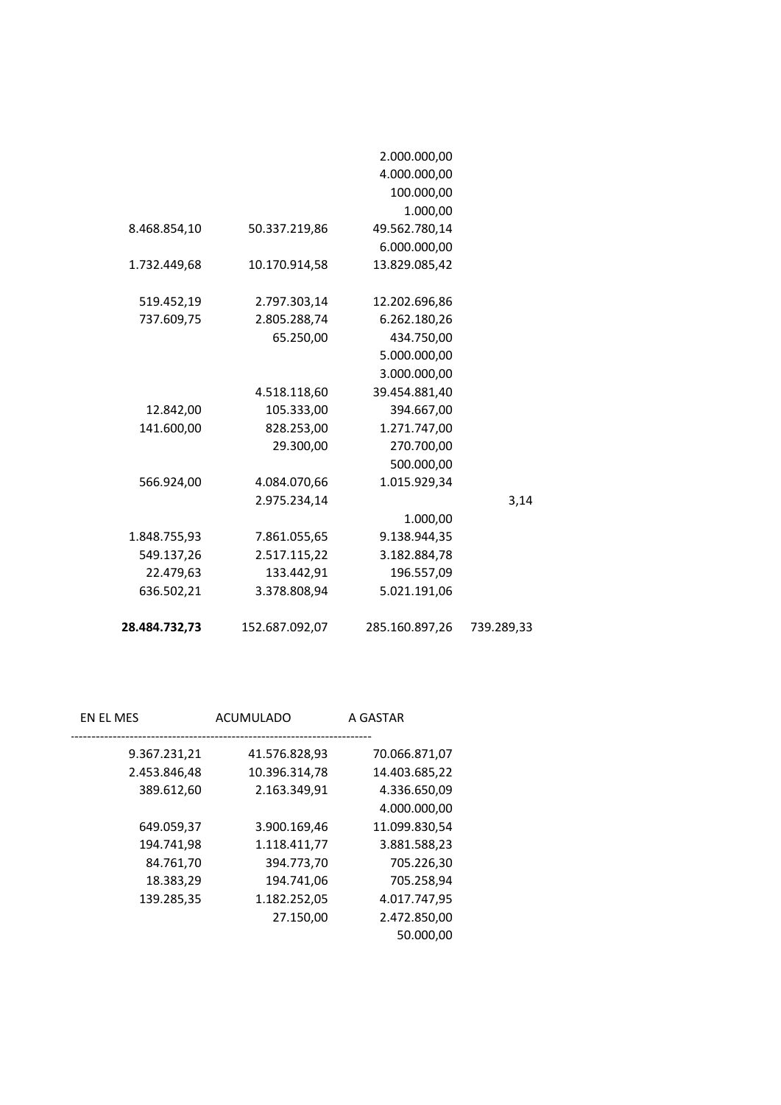| 28.484.732,73 | 152.687.092,07 | 285.160.897,26 | 739.289,33 |
|---------------|----------------|----------------|------------|
| 636.502,21    | 3.378.808,94   | 5.021.191,06   |            |
| 22.479,63     | 133.442,91     | 196.557,09     |            |
| 549.137,26    | 2.517.115,22   | 3.182.884,78   |            |
| 1.848.755,93  | 7.861.055,65   | 9.138.944,35   |            |
|               |                | 1.000,00       |            |
|               | 2.975.234,14   |                | 3,14       |
| 566.924,00    | 4.084.070,66   | 1.015.929,34   |            |
|               |                | 500.000,00     |            |
|               | 29.300,00      | 270.700,00     |            |
| 141.600,00    | 828.253,00     | 1.271.747,00   |            |
| 12.842,00     | 105.333,00     | 394.667,00     |            |
|               | 4.518.118,60   | 39.454.881,40  |            |
|               |                | 3.000.000,00   |            |
|               |                | 5.000.000,00   |            |
|               | 65.250,00      | 434.750,00     |            |
| 737.609,75    | 2.805.288,74   | 6.262.180,26   |            |
| 519.452,19    | 2.797.303,14   | 12.202.696,86  |            |
| 1.732.449,68  | 10.170.914,58  | 13.829.085,42  |            |
|               |                | 6.000.000,00   |            |
| 8.468.854,10  | 50.337.219,86  | 49.562.780,14  |            |
|               |                | 1.000,00       |            |
|               |                | 100.000,00     |            |
|               |                | 4.000.000,00   |            |
|               |                | 2.000.000,00   |            |
|               |                |                |            |

| A GASTAR      | ACUMULADO     | EN EL MES    |
|---------------|---------------|--------------|
| 70.066.871,07 | 41.576.828,93 | 9.367.231,21 |
| 14.403.685,22 | 10.396.314,78 | 2.453.846,48 |
| 4.336.650,09  | 2.163.349,91  | 389.612,60   |
| 4.000.000,00  |               |              |
| 11.099.830,54 | 3.900.169,46  | 649.059,37   |
| 3.881.588,23  | 1.118.411,77  | 194.741,98   |
| 705.226,30    | 394.773,70    | 84.761,70    |
| 705.258,94    | 194.741,06    | 18.383,29    |
| 4.017.747,95  | 1.182.252,05  | 139.285,35   |
| 2.472.850,00  | 27.150,00     |              |
| 50.000,00     |               |              |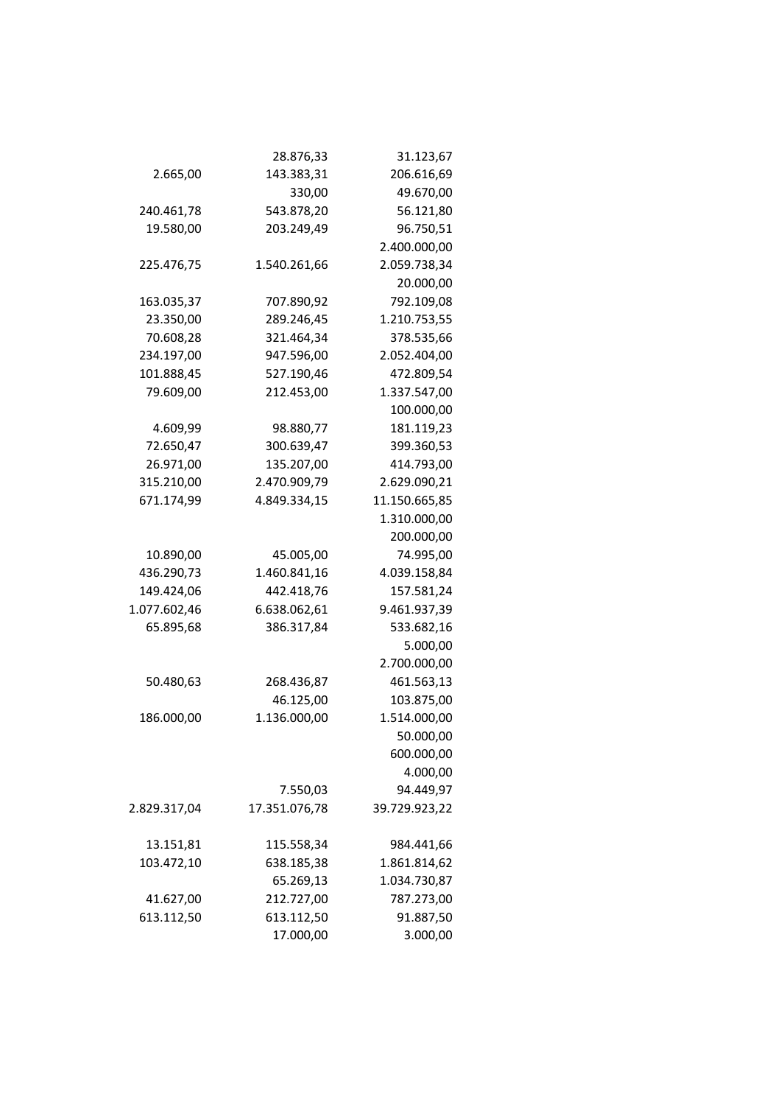|              | 28.876,33     | 31.123,67     |
|--------------|---------------|---------------|
| 2.665,00     | 143.383,31    | 206.616,69    |
|              | 330,00        | 49.670,00     |
| 240.461,78   | 543.878,20    | 56.121,80     |
| 19.580,00    | 203.249,49    | 96.750,51     |
|              |               | 2.400.000,00  |
| 225.476,75   | 1.540.261,66  | 2.059.738,34  |
|              |               | 20.000,00     |
| 163.035,37   | 707.890,92    | 792.109,08    |
| 23.350,00    | 289.246,45    | 1.210.753,55  |
| 70.608,28    | 321.464,34    | 378.535,66    |
| 234.197,00   | 947.596,00    | 2.052.404,00  |
| 101.888,45   | 527.190,46    | 472.809,54    |
| 79.609,00    | 212.453,00    | 1.337.547,00  |
|              |               | 100.000,00    |
| 4.609,99     | 98.880,77     | 181.119,23    |
| 72.650,47    | 300.639,47    | 399.360,53    |
| 26.971,00    | 135.207,00    | 414.793,00    |
| 315.210,00   | 2.470.909,79  | 2.629.090,21  |
| 671.174,99   | 4.849.334,15  | 11.150.665,85 |
|              |               | 1.310.000,00  |
|              |               | 200.000,00    |
| 10.890,00    | 45.005,00     | 74.995,00     |
| 436.290,73   | 1.460.841,16  | 4.039.158,84  |
| 149.424,06   | 442.418,76    | 157.581,24    |
| 1.077.602,46 | 6.638.062,61  | 9.461.937,39  |
| 65.895,68    | 386.317,84    | 533.682,16    |
|              |               | 5.000,00      |
|              |               | 2.700.000,00  |
| 50.480,63    | 268.436,87    | 461.563,13    |
|              | 46.125,00     | 103.875,00    |
| 186.000,00   | 1.136.000,00  | 1.514.000,00  |
|              |               | 50.000,00     |
|              |               | 600.000,00    |
|              |               | 4.000,00      |
|              | 7.550,03      | 94.449,97     |
| 2.829.317,04 | 17.351.076,78 | 39.729.923,22 |
| 13.151,81    | 115.558,34    | 984.441,66    |
| 103.472,10   | 638.185,38    | 1.861.814,62  |
|              | 65.269,13     | 1.034.730,87  |
| 41.627,00    | 212.727,00    | 787.273,00    |
| 613.112,50   | 613.112,50    | 91.887,50     |
|              | 17.000,00     | 3.000,00      |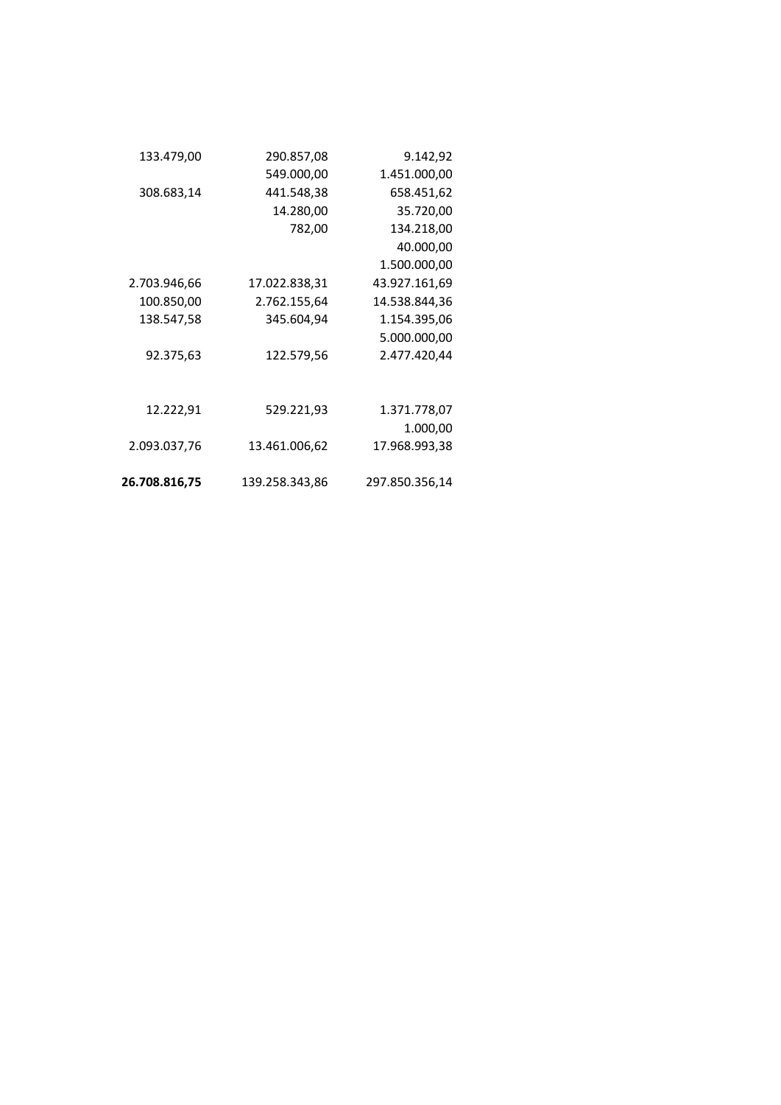| 290.857,08     | 9.142,92       |
|----------------|----------------|
| 549.000,00     | 1.451.000,00   |
| 441.548,38     | 658.451,62     |
| 14.280,00      | 35.720,00      |
| 782,00         | 134.218,00     |
|                | 40.000,00      |
|                | 1.500.000,00   |
| 17.022.838,31  | 43.927.161,69  |
| 2.762.155,64   | 14.538.844,36  |
| 345.604,94     | 1.154.395,06   |
|                | 5.000.000,00   |
| 122.579,56     | 2.477.420,44   |
|                |                |
| 529.221,93     | 1.371.778,07   |
|                | 1.000,00       |
| 13.461.006,62  | 17.968.993,38  |
| 139.258.343,86 | 297.850.356,14 |
|                |                |